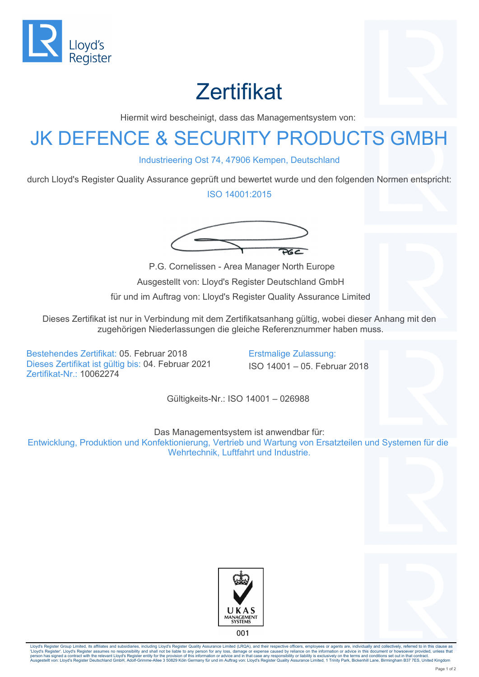

## **Zertifikat**

Hiermit wird bescheinigt, dass das Managementsystem von:

## JK DEFENCE & SECURITY PRODUCTS GMBH

Industrieering Ost 74, 47906 Kempen, Deutschland

durch Lloyd's Register Quality Assurance geprüft und bewertet wurde und den folgenden Normen entspricht:

ISO 14001:2015



 P.G. Cornelissen - Area Manager North Europe Ausgestellt von: Lloyd's Register Deutschland GmbH für und im Auftrag von: Lloyd's Register Quality Assurance Limited

Dieses Zertifikat ist nur in Verbindung mit dem Zertifikatsanhang gültig, wobei dieser Anhang mit den zugehörigen Niederlassungen die gleiche Referenznummer haben muss.

Bestehendes Zertifikat: 05. Februar 2018 Erstmalige Zulassung: Dieses Zertifikat ist gültig bis: 04. Februar 2021 ISO 14001 – 05. Februar 2018 Zertifikat-Nr.: 10062274

Gültigkeits-Nr.: ISO 14001 – 026988

Das Managementsystem ist anwendbar für:

Entwicklung, Produktion und Konfektionierung, Vertrieb und Wartung von Ersatzteilen und Systemen für die Wehrtechnik, Luftfahrt und Industrie.





Lloyd's Register Group Limited, its affiliates and subsidiaries, including Lloyd's Register Quality Assurance Limited (LRQA), and their respective officers, employees or agents are, individually and collectively, referred